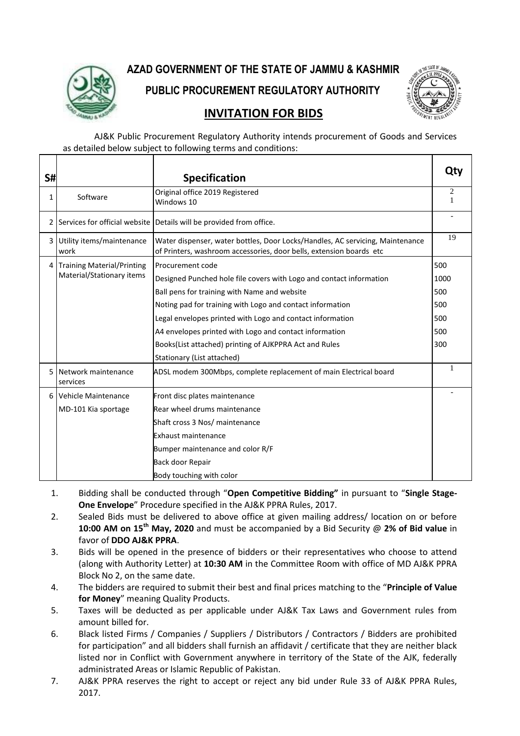

#### **AZAD GOVERNMENT OF THE STATE OF JAMMU & KASHMIR**

**PUBLIC PROCUREMENT REGULATORY AUTHORITY**



#### **INVITATION FOR BIDS**

AJ&K Public Procurement Regulatory Authority intends procurement of Goods and Services as detailed below subject to following terms and conditions:

| S#           |                                   | <b>Specification</b>                                                                                                                                 | Qty                 |
|--------------|-----------------------------------|------------------------------------------------------------------------------------------------------------------------------------------------------|---------------------|
| 1            | Software                          | Original office 2019 Registered<br>Windows 10                                                                                                        | $\overline{2}$<br>1 |
|              |                                   | 2 Services for official website Details will be provided from office.                                                                                |                     |
| 3 I          | Utility items/maintenance<br>work | Water dispenser, water bottles, Door Locks/Handles, AC servicing, Maintenance<br>of Printers, washroom accessories, door bells, extension boards etc | 19                  |
|              | 4 Training Material/Printing      | Procurement code                                                                                                                                     | 500                 |
|              | Material/Stationary items         | Designed Punched hole file covers with Logo and contact information                                                                                  | 1000                |
|              |                                   | Ball pens for training with Name and website                                                                                                         | 500                 |
|              |                                   | Noting pad for training with Logo and contact information                                                                                            | 500                 |
|              |                                   | Legal envelopes printed with Logo and contact information                                                                                            | 500                 |
|              |                                   | A4 envelopes printed with Logo and contact information                                                                                               | 500                 |
|              |                                   | Books(List attached) printing of AJKPPRA Act and Rules                                                                                               | 300                 |
|              |                                   | Stationary (List attached)                                                                                                                           |                     |
|              | 5 Network maintenance<br>services | ADSL modem 300Mbps, complete replacement of main Electrical board                                                                                    | 1                   |
| <sup>6</sup> | Vehicle Maintenance               | Front disc plates maintenance                                                                                                                        |                     |
|              | MD-101 Kia sportage               | Rear wheel drums maintenance                                                                                                                         |                     |
|              |                                   | Shaft cross 3 Nos/ maintenance                                                                                                                       |                     |
|              |                                   | Exhaust maintenance                                                                                                                                  |                     |
|              |                                   | Bumper maintenance and color R/F                                                                                                                     |                     |
|              |                                   | Back door Repair                                                                                                                                     |                     |
|              |                                   | Body touching with color                                                                                                                             |                     |

- 1. Bidding shall be conducted through "**Open Competitive Bidding"** in pursuant to "**Single Stage-One Envelope**" Procedure specified in the AJ&K PPRA Rules, 2017.
- 2. Sealed Bids must be delivered to above office at given mailing address/ location on or before **10:00 AM on 15th May, 2020** and must be accompanied by a Bid Security @ **2% of Bid value** in favor of **DDO AJ&K PPRA**.
- 3. Bids will be opened in the presence of bidders or their representatives who choose to attend (along with Authority Letter) at **10:30 AM** in the Committee Room with office of MD AJ&K PPRA Block No 2, on the same date.
- 4. The bidders are required to submit their best and final prices matching to the "**Principle of Value for Money**" meaning Quality Products.
- 5. Taxes will be deducted as per applicable under AJ&K Tax Laws and Government rules from amount billed for.
- 6. Black listed Firms / Companies / Suppliers / Distributors / Contractors / Bidders are prohibited for participation" and all bidders shall furnish an affidavit / certificate that they are neither black listed nor in Conflict with Government anywhere in territory of the State of the AJK, federally administrated Areas or Islamic Republic of Pakistan.
- 7. AJ&K PPRA reserves the right to accept or reject any bid under Rule 33 of AJ&K PPRA Rules, 2017.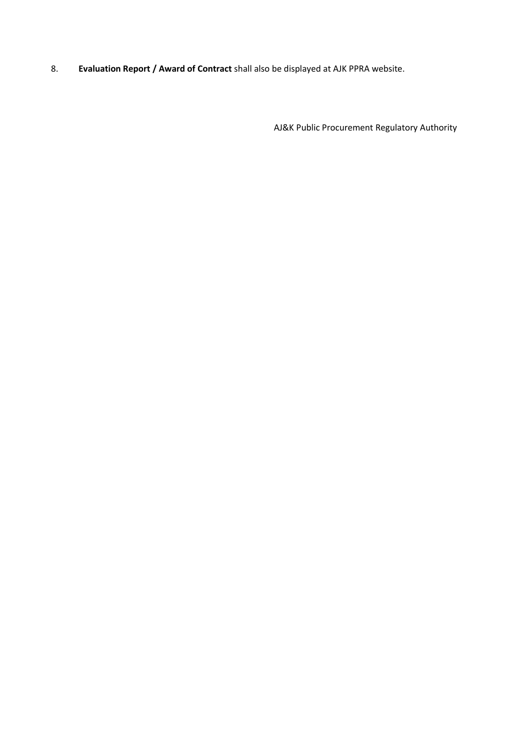8. **Evaluation Report / Award of Contract** shall also be displayed at AJK PPRA website.

AJ&K Public Procurement Regulatory Authority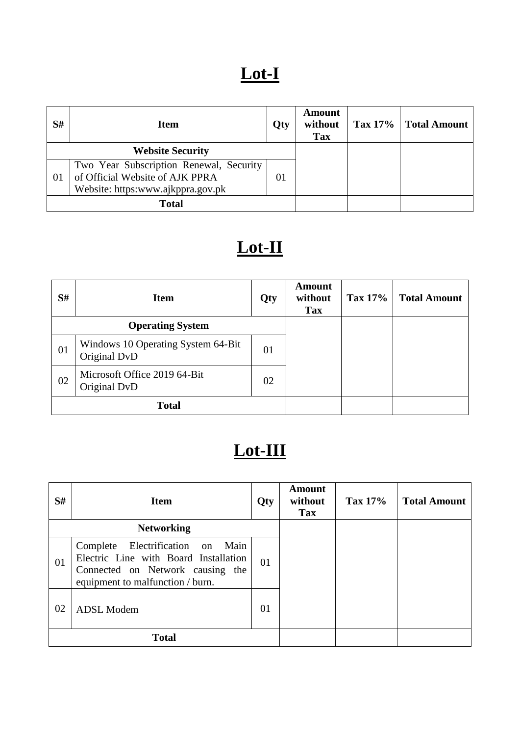# **Lot-I**

| S#                      | <b>Item</b>                             | Qty | <b>Amount</b><br>without<br><b>Tax</b> | Tax 17% | <b>Total Amount</b> |
|-------------------------|-----------------------------------------|-----|----------------------------------------|---------|---------------------|
| <b>Website Security</b> |                                         |     |                                        |         |                     |
|                         | Two Year Subscription Renewal, Security |     |                                        |         |                     |
| 01                      | of Official Website of AJK PPRA         |     |                                        |         |                     |
|                         | Website: https:www.ajkppra.gov.pk       |     |                                        |         |                     |
| <b>Total</b>            |                                         |     |                                        |         |                     |

# **Lot-II**

| S#                      | <b>Item</b>                                        | Qty | <b>Amount</b><br>without<br><b>Tax</b> | <b>Tax 17%</b> | <b>Total Amount</b> |
|-------------------------|----------------------------------------------------|-----|----------------------------------------|----------------|---------------------|
| <b>Operating System</b> |                                                    |     |                                        |                |                     |
| 01                      | Windows 10 Operating System 64-Bit<br>Original DvD | 01  |                                        |                |                     |
| 02                      | Microsoft Office 2019 64-Bit<br>Original DvD       | 02  |                                        |                |                     |
| <b>Total</b>            |                                                    |     |                                        |                |                     |

# **Lot-III**

| S#                | <b>Item</b>                                                                                                                                       | Qty | <b>Amount</b><br>without<br><b>Tax</b> | Tax $17\%$ | <b>Total Amount</b> |
|-------------------|---------------------------------------------------------------------------------------------------------------------------------------------------|-----|----------------------------------------|------------|---------------------|
| <b>Networking</b> |                                                                                                                                                   |     |                                        |            |                     |
| 01                | Complete Electrification on Main<br>Electric Line with Board Installation<br>Connected on Network causing the<br>equipment to malfunction / burn. | 01  |                                        |            |                     |
| 02                | <b>ADSL Modem</b>                                                                                                                                 | 01  |                                        |            |                     |
| <b>Total</b>      |                                                                                                                                                   |     |                                        |            |                     |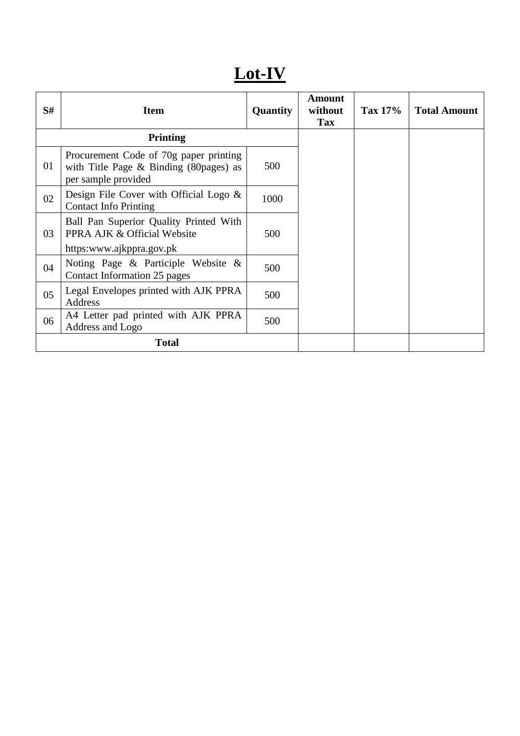### **Lot-IV**

| S# | <b>Item</b>                                                                                                 | <b>Quantity</b> | <b>Amount</b><br>without<br><b>Tax</b> | Tax 17% | <b>Total Amount</b> |
|----|-------------------------------------------------------------------------------------------------------------|-----------------|----------------------------------------|---------|---------------------|
|    | <b>Printing</b>                                                                                             |                 |                                        |         |                     |
| 01 | Procurement Code of 70g paper printing<br>with Title Page $\&$ Binding (80 pages) as<br>per sample provided | 500             |                                        |         |                     |
| 02 | Design File Cover with Official Logo &<br><b>Contact Info Printing</b>                                      | 1000            |                                        |         |                     |
| 03 | Ball Pan Superior Quality Printed With<br>PPRA AJK & Official Website<br>https:www.ajkppra.gov.pk           | 500             |                                        |         |                     |
| 04 | Noting Page $\&$ Participle Website $\&$<br>Contact Information 25 pages                                    | 500             |                                        |         |                     |
| 05 | Legal Envelopes printed with AJK PPRA<br><b>Address</b>                                                     | 500             |                                        |         |                     |
| 06 | A4 Letter pad printed with AJK PPRA<br>Address and Logo                                                     | 500             |                                        |         |                     |
|    | <b>Total</b>                                                                                                |                 |                                        |         |                     |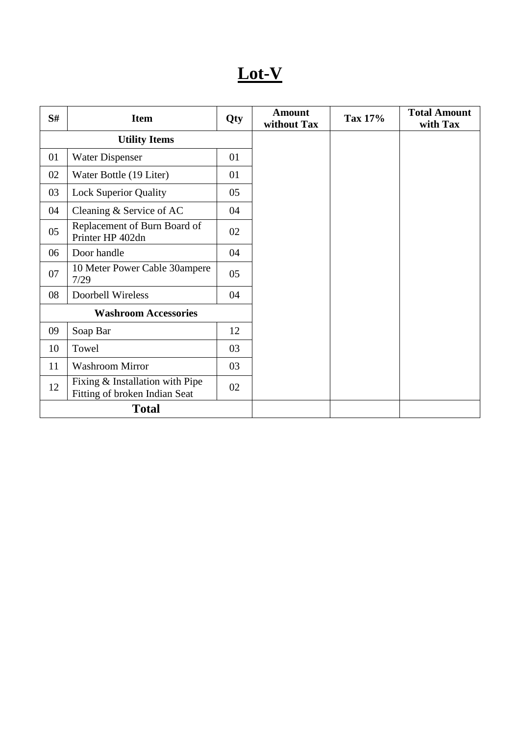# **Lot-V**

| S# | <b>Item</b>                                                      | Qty | <b>Amount</b><br>without Tax | Tax 17% | <b>Total Amount</b><br>with Tax |
|----|------------------------------------------------------------------|-----|------------------------------|---------|---------------------------------|
|    | <b>Utility Items</b>                                             |     |                              |         |                                 |
| 01 | <b>Water Dispenser</b>                                           | 01  |                              |         |                                 |
| 02 | Water Bottle (19 Liter)                                          | 01  |                              |         |                                 |
| 03 | <b>Lock Superior Quality</b>                                     | 05  |                              |         |                                 |
| 04 | Cleaning & Service of AC                                         | 04  |                              |         |                                 |
| 05 | Replacement of Burn Board of<br>Printer HP 402dn                 | 02  |                              |         |                                 |
| 06 | Door handle                                                      | 04  |                              |         |                                 |
| 07 | 10 Meter Power Cable 30ampere<br>7/29                            | 05  |                              |         |                                 |
| 08 | Doorbell Wireless                                                | 04  |                              |         |                                 |
|    | <b>Washroom Accessories</b>                                      |     |                              |         |                                 |
| 09 | Soap Bar                                                         | 12  |                              |         |                                 |
| 10 | Towel                                                            | 03  |                              |         |                                 |
| 11 | <b>Washroom Mirror</b>                                           | 03  |                              |         |                                 |
| 12 | Fixing & Installation with Pipe<br>Fitting of broken Indian Seat | 02  |                              |         |                                 |
|    | <b>Total</b>                                                     |     |                              |         |                                 |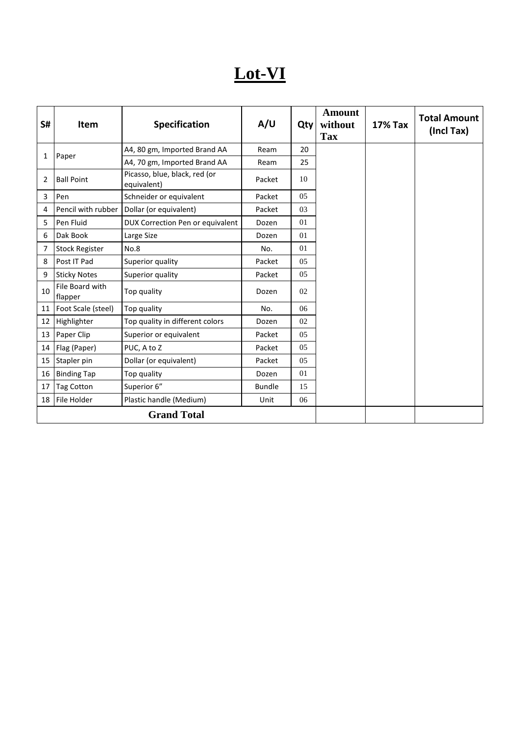### **Lot-VI**

| S#              | <b>Item</b>                | <b>Specification</b>                         | A/U           | Qty | <b>Amount</b><br>without<br><b>Tax</b> | <b>17% Tax</b> | <b>Total Amount</b><br>(Incl Tax) |
|-----------------|----------------------------|----------------------------------------------|---------------|-----|----------------------------------------|----------------|-----------------------------------|
| 1               | Paper                      | A4, 80 gm, Imported Brand AA                 | Ream          | 20  |                                        |                |                                   |
|                 |                            | A4, 70 gm, Imported Brand AA                 | Ream          | 25  |                                        |                |                                   |
| 2               | <b>Ball Point</b>          | Picasso, blue, black, red (or<br>equivalent) | Packet        | 10  |                                        |                |                                   |
| 3               | Pen                        | Schneider or equivalent                      | Packet        | 0.5 |                                        |                |                                   |
| 4               | Pencil with rubber         | Dollar (or equivalent)                       | Packet        | 03  |                                        |                |                                   |
| 5               | Pen Fluid                  | DUX Correction Pen or equivalent             | Dozen         | 01  |                                        |                |                                   |
| 6               | Dak Book                   | Large Size                                   | Dozen         | 01  |                                        |                |                                   |
| 7               | <b>Stock Register</b>      | No.8                                         | No.           | 01  |                                        |                |                                   |
| 8               | Post IT Pad                | Superior quality                             | Packet        | 05  |                                        |                |                                   |
| 9               | <b>Sticky Notes</b>        | Superior quality                             | Packet        | 05  |                                        |                |                                   |
| 10              | File Board with<br>flapper | Top quality                                  | Dozen         | 02  |                                        |                |                                   |
|                 | 11   Foot Scale (steel)    | Top quality                                  | No.           | 06  |                                        |                |                                   |
|                 | 12 Highlighter             | Top quality in different colors              | Dozen         | 02  |                                        |                |                                   |
| 13              | Paper Clip                 | Superior or equivalent                       | Packet        | 05  |                                        |                |                                   |
|                 | 14   Flag (Paper)          | PUC, A to Z                                  | Packet        | 05  |                                        |                |                                   |
| 15              | Stapler pin                | Dollar (or equivalent)                       | Packet        | 05  |                                        |                |                                   |
|                 | 16 Binding Tap             | Top quality                                  | Dozen         | 01  |                                        |                |                                   |
| 17 <sup>1</sup> | <b>Tag Cotton</b>          | Superior 6"                                  | <b>Bundle</b> | 15  |                                        |                |                                   |
|                 | 18 File Holder             | Plastic handle (Medium)                      | Unit          | 06  |                                        |                |                                   |
|                 | <b>Grand Total</b>         |                                              |               |     |                                        |                |                                   |